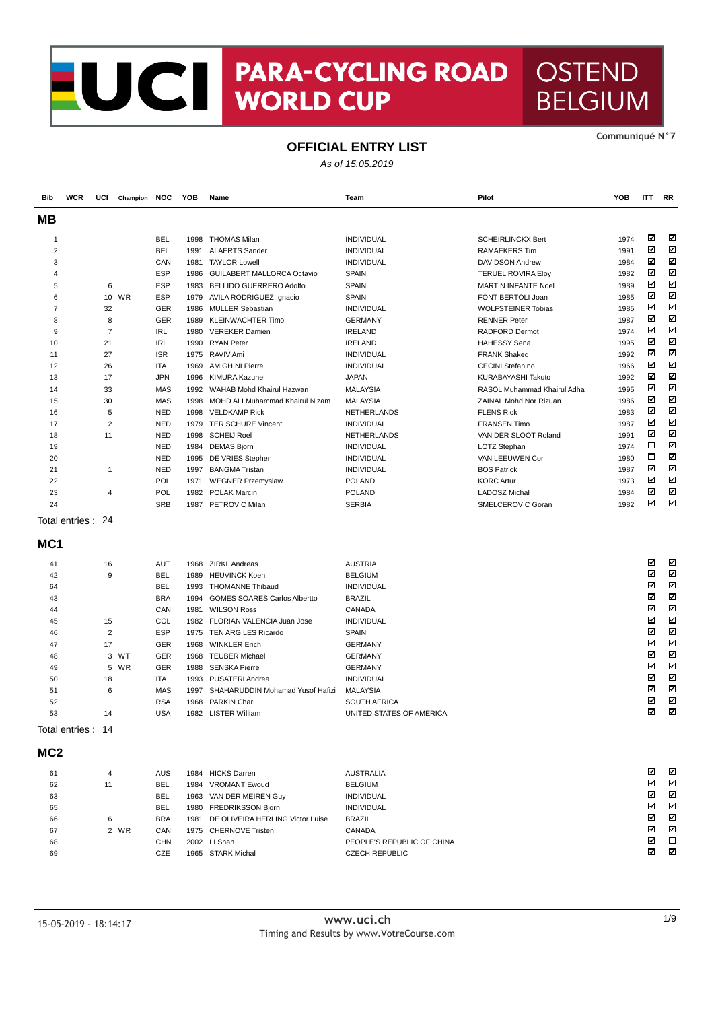## **CENTRA-CYCLING ROAD OSTEND<br>WORLD CUP BELGIUM** U **BELGIUM**

### **OFFICIAL ENTRY LIST**

As of 15.05.2019

**Bib WCR UCI Champion NOC YOB Name Team Pilot YOB ITT RR MB** N Ν 1 BEL 1998 THOMAS Milan INDIVIDUAL INDIVIDUAL SCHEIRLINCKX Bert 1974  $\boxtimes$  $\overline{\mathbf{z}}$ 2 BEL 1991 ALAERTS Sander INDIVIDUAL RAMAEKERS Tim 1991 ⊠ М 3 CAN 1981 TAYLOR Lowell INDIVIDUAL DAVIDSON Andrew 1984 М М 4 ESP 1986 GUILABERT MALLORCA Octavio SPAIN TERUEL ROVIRA Eloy 1982 М 5 6 ESP 1983 BELLIDO GUERRERO Adolfo SPAIN MARTIN INFANTE Noel 1989 ⊠  $\overline{\mathbf{z}}$ 6 10 WR ESP 1979 AVILA RODRIGUEZ Ignacio SPAIN SPAIN FONT BERTOLI Joan 1985  $\boxtimes$ ⊠ ⊠ 7 32 GER 1986 MULLER Sebastian **INDIVIDUAL NOVE ARE A WOLFSTEINER Tobias** 1985 8 8 GER 1989 KLEINWACHTER Timo GERMANY GERMANY RENNER Peter 1987 ⊠ M  $\boxtimes$  $\overline{\mathbf{x}}$ 9 7 IRL 1980 VEREKER Damien IRELAND IRELAND RADFORD Dermot 1974 ⊠ ⊠ 10 21 IRL 1990 RYAN Peter IRELAND HAHESSY Sena 1995 М ⊠ 11 1 27 ISR 1975 RAVIV Ami 1982 NODIVIDUAL 1982 SERANK Shaked 1992 ⊠ ⊠ 12 26 ITA 1969 AMIGHINI Pierre INDIVIDUAL INDIVIDUAL CECINI Stefanino 1966  $\overline{\mathbf{M}}$  $\overline{\mathbf{x}}$ 13 17 JPN 1996 KIMURA Kazuhei JAPAN KURABAYASHI Takuto 1992  $\overline{\mathbf{z}}$ ⊠ 14 33 MAS 1992 WAHAB Mohd Khairul Hazwan MALAYSIA RASOL Muhammad Khairul Adha 1995 15 30 MAS 1998 MOHD ALI Muhammad Khairul Nizam MALAYSIA ZAINAL Mohd Nor Rizuan 1986 ⊠ ⊠ М  $\overline{\mathbf{x}}$ 16 5 NED 1998 VELDKAMP Rick NETHERLANDS FLENS Rick 1983 17 2 NED 1979 TER SCHURE Vincent INDIVIDUAL **FRANSEN Timo** 1987 ⊠ ⊓ ⊠ M 18 11 NED 1998 SCHEIJ Roel NETHERLANDS VAN DER SLOOT Roland 1991  $\Box$  $\overline{\mathbf{z}}$ 19 19 NED 1984 DEMAS Bjorn 1974 INDIVIDUAL NEWSLAU LOTZ Stephan 1974  $\Box$ ⊠ 20 NED 1995 DE VRIES Stephen INDIVIDUAL NOT VAN LEEUWEN Cor 1980  $\boxtimes$  $\overline{\mathbf{z}}$ 21 1 NED 1997 BANGMA Tristan INDIVIDUAL BOS Patrick 1987 22 POL 1971 WEGNER Przemyslaw POLAND POLAND KORC Artur 1973 ⊠ ⊠  $\overline{\mathbf{z}}$ ⊠ 23 4 POL 1982 POLAK Marcin **POLAND POLAND LADOSZ Michal 1984** 24 SRB 1987 PETROVIC Milan SERBIA SERBIA SMELCEROVIC Goran 1982 ⊠ М Total entries : 24 **MC1** М М 41 16 AUT 1968 ZIRKL Andreas AUSTRIA 42 9 BEL 1989 HEUVINCK Koen BELGIUM М М  $\boxtimes$  $\overline{\mathbf{z}}$ 64 BEL 1993 THOMANNE Thibaud INDIVIDUAL ⊠ 43 BRA 1994 GOMES SOARES Carlos Albertto BRAZIL ⊠ 44 CAN 1981 WILSON Ross CANADA  $\boxtimes$  $\overline{\mathbf{z}}$  $\overline{\mathbf{M}}$  $\boxtimes$ 45 15 COL 1982 FLORIAN VALENCIA Juan Jose INDIVIDUAL ⊠ М 46 2 ESP 1975 TEN ARGILES Ricardo SPAIN Ν Ν 47 17 GER 1968 WINKLER Erich GERMANY М М 48 3 WT GER 1968 TEUBER Michael GERMANY  $\boxtimes$  $\overline{\mathbf{S}}$ 49 5 WR GER 1988 SENSKA Pierre GERMANY  $\boxtimes$ ⊠ 50 18 ITA 1993 PUSATERI Andrea INDIVIDUAL 51 6 MAS 1997 SHAHARUDDIN Mohamad Yusof Hafizi MALAYSIA ☑ ⊠  $\overline{\mathbb{Z}}$  $\overline{\mathbf{z}}$ 52 RSA 1968 PARKIN Charl SOUTH AFRICA 53 14 USA 1982 LISTER William UNITED STATES OF AMERICA М М Total entries : 14 **MC2** ⊠  $\overline{\mathbf{z}}$ 61 4 AUS 1984 HICKS Darren AUSTRALIA 62 11 BEL 1984 VROMANT Ewoud ⊠ ⊠  $\overline{\mathbf{z}}$ ⊠ 63 BEL 1963 VAN DER MEIREN Guy INDIVIDUAL 65 BEL 1980 FREDRIKSSON Bjorn INDIVIDUAL М ⊠  $\boxtimes$  $\overline{\mathbf{x}}$ 66 6 BRA 1981 DE OLIVEIRA HERLING Victor Luise BRAZIL ⊠ ⊠ 67 2 WR CAN 1975 CHERNOVE Tristen CANADA  $\boxtimes$  $\Box$ 68 CHN 2002 LI Shan PEOPLE'S REPUBLIC OF CHINA М ⊠ 69 CZE 1965 STARK Michal CZECH REPUBLIC

**CommuniquÈ N°7**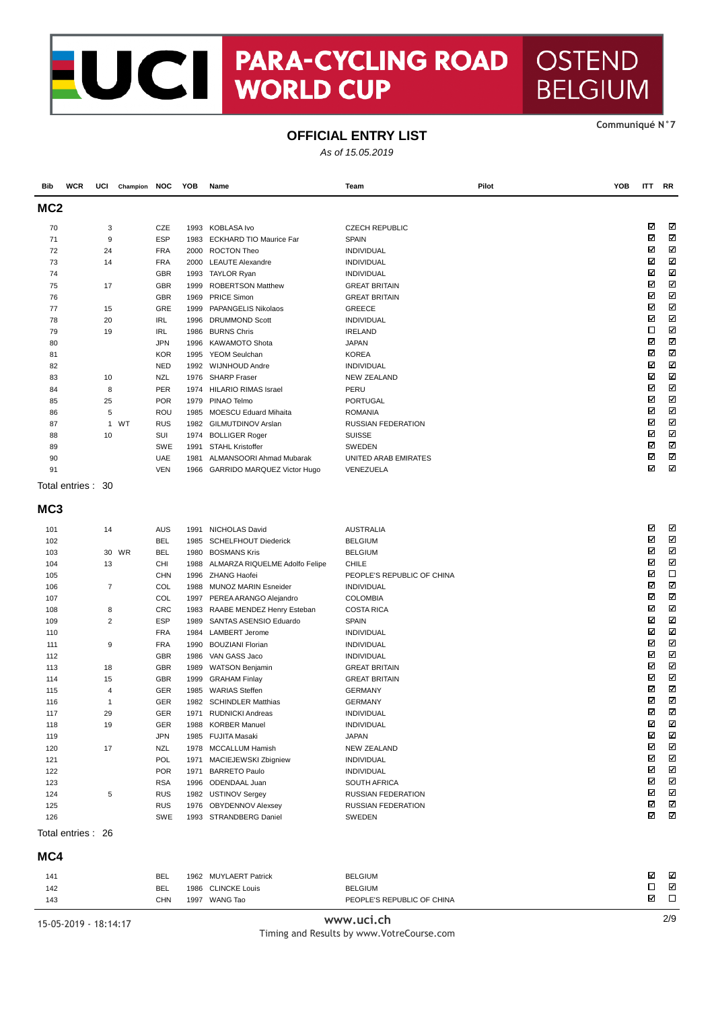## PARA-CYCLING ROAD **EUCI WORLD CUP**

#### Communiqué N°7

 $\overline{\mathsf{RR}}$ 

 $\boldsymbol{\nabla}$  $\boxtimes$  $\blacksquare$  $\overline{\mathbf{z}}$  $\blacksquare$  $\overline{\mathbf{z}}$  $\overline{\mathbf{z}}$  $\overline{\mathbf{z}}$  $\boldsymbol{\nabla}$  $\blacksquare$  $\overline{\mathbb{Z}}$  $\overline{\mathbf{M}}$  $\blacksquare$  $\boldsymbol{\nabla}$  $\overline{\mathbf{z}}$  $\boldsymbol{\Xi}$  $\boxtimes$  $\overline{\mathbf{z}}$  $\overline{\mathbf{z}}$  $\overline{\mathbf{M}}$  $\boldsymbol{\nabla}$  $\overline{\mathbf{z}}$ 

 $\boldsymbol{\mathsf{z}}$  $\overline{\mathbb{Z}}$ 

**OSTEND** 

**BELGIUM** 

### **OFFICIAL ENTRY LIST**

|                 |                   |     |              |            |      |                                      | As of 15.05.2019          |       |                   |
|-----------------|-------------------|-----|--------------|------------|------|--------------------------------------|---------------------------|-------|-------------------|
| <b>Bib</b>      | <b>WCR</b>        | UCI | Champion NOC |            | YOB  | Name                                 | Team                      | Pilot | <b>YOB</b><br>ITT |
| MC <sub>2</sub> |                   |     |              |            |      |                                      |                           |       |                   |
| 70              |                   | 3   |              | CZE        |      | 1993 KOBLASA Ivo                     | <b>CZECH REPUBLIC</b>     |       | ☑                 |
| 71              |                   | 9   |              | <b>ESP</b> |      | 1983 ECKHARD TIO Maurice Far         | <b>SPAIN</b>              |       | ☑                 |
| 72              |                   | 24  |              | <b>FRA</b> |      | 2000 ROCTON Theo                     | <b>INDIVIDUAL</b>         |       | ☑                 |
| 73              |                   | 14  |              | <b>FRA</b> |      | 2000 LEAUTE Alexandre                | <b>INDIVIDUAL</b>         |       | ⊠                 |
| 74              |                   |     |              | GBR        |      | 1993 TAYLOR Ryan                     | <b>INDIVIDUAL</b>         |       | Σ                 |
| 75              |                   | 17  |              | <b>GBR</b> | 1999 | <b>ROBERTSON Matthew</b>             | <b>GREAT BRITAIN</b>      |       | V                 |
| 76              |                   |     |              | <b>GBR</b> |      | 1969 PRICE Simon                     | <b>GREAT BRITAIN</b>      |       | Σ                 |
| 77              |                   | 15  |              | GRE        | 1999 | PAPANGELIS Nikolaos                  | <b>GREECE</b>             |       | ¥                 |
| 78              |                   | 20  |              | <b>IRL</b> | 1996 | <b>DRUMMOND Scott</b>                | INDIVIDUAL                |       | V                 |
| 79              |                   | 19  |              | <b>IRL</b> | 1986 | <b>BURNS Chris</b>                   | <b>IRELAND</b>            |       | $\Box$            |
| 80              |                   |     |              | <b>JPN</b> | 1996 | <b>KAWAMOTO Shota</b>                | <b>JAPAN</b>              |       | ☑                 |
| 81              |                   |     |              | <b>KOR</b> | 1995 | <b>YEOM Seulchan</b>                 | <b>KOREA</b>              |       | ⊠                 |
| 82              |                   |     |              | <b>NED</b> |      | 1992 WIJNHOUD Andre                  | <b>INDIVIDUAL</b>         |       | Σ                 |
| 83              |                   | 10  |              | <b>NZL</b> |      | 1976 SHARP Fraser                    | <b>NEW ZEALAND</b>        |       | V                 |
| 84              |                   | 8   |              | PER        |      | 1974 HILARIO RIMAS Israel            | PERU                      |       | ☑                 |
| 85              |                   | 25  |              | <b>POR</b> |      | 1979 PINAO Telmo                     | <b>PORTUGAL</b>           |       | V                 |
| 86              |                   | 5   |              | ROU        | 1985 | <b>MOESCU Eduard Mihaita</b>         | <b>ROMANIA</b>            |       | ⊠                 |
| 87              |                   |     | 1 WT         | <b>RUS</b> |      | 1982 GILMUTDINOV Arslan              | <b>RUSSIAN FEDERATION</b> |       | ☑                 |
| 88              |                   | 10  |              | SUI        |      | 1974 BOLLIGER Roger                  | <b>SUISSE</b>             |       | ☑                 |
| 89              |                   |     |              | <b>SWE</b> |      | 1991 STAHL Kristoffer                | SWEDEN                    |       | ☑                 |
| 90              |                   |     |              | <b>UAE</b> |      | 1981 ALMANSOORI Ahmad Mubarak        | UNITED ARAB EMIRATES      |       | ☑                 |
| 91              |                   |     |              | <b>VEN</b> |      | 1966 GARRIDO MARQUEZ Victor Hugo     | VENEZUELA                 |       | M                 |
|                 | Total entries: 30 |     |              |            |      |                                      |                           |       |                   |
| MC <sub>3</sub> |                   |     |              |            |      |                                      |                           |       |                   |
| 101             |                   | 14  |              | AUS        | 1991 | NICHOLAS David                       | <b>AUSTRALIA</b>          |       | ☑                 |
| 102             |                   |     |              | <b>BEL</b> |      | 1985 SCHELFHOUT Diederick            | <b>BELGIUM</b>            |       | ☑                 |
| 103             |                   |     | 30 WR        | <b>BEL</b> |      | 1980 BOSMANS Kris                    | <b>BELGIUM</b>            |       | K                 |
| 101             |                   | 12  |              | $\sim$     |      | 1000 ALMADZA DIOLIELME Adolfo Folipe | $C = E$                   |       | ☑                 |

| 103 | <b>WR</b><br>30 | <b>BEL</b> | 1980 | <b>BOSMANS Kris</b>            | <b>BELGIUM</b>             | ☑ | ☑ |
|-----|-----------------|------------|------|--------------------------------|----------------------------|---|---|
| 104 | 13              | <b>CHI</b> | 1988 | ALMARZA RIQUELME Adolfo Felipe | <b>CHILE</b>               | ☑ | ⊠ |
| 105 |                 | <b>CHN</b> |      | 1996 ZHANG Haofei              | PEOPLE'S REPUBLIC OF CHINA | ☑ | □ |
| 106 | $\overline{7}$  | COL        | 1988 | <b>MUNOZ MARIN Esneider</b>    | <b>INDIVIDUAL</b>          | ☑ | K |
| 107 |                 | COL        | 1997 | PEREA ARANGO Alejandro         | <b>COLOMBIA</b>            | ☑ | K |
| 108 | 8               | <b>CRC</b> | 1983 | RAABE MENDEZ Henry Esteban     | <b>COSTA RICA</b>          | ⊠ | Ν |
| 109 | $\overline{c}$  | <b>ESP</b> | 1989 | SANTAS ASENSIO Eduardo         | <b>SPAIN</b>               | ☑ | M |
| 110 |                 | <b>FRA</b> | 1984 | <b>LAMBERT Jerome</b>          | <b>INDIVIDUAL</b>          | ⊠ | K |
| 111 | 9               | <b>FRA</b> | 1990 | <b>BOUZIANI Florian</b>        | <b>INDIVIDUAL</b>          | ☑ | ☑ |
| 112 |                 | <b>GBR</b> | 1986 | VAN GASS Jaco                  | <b>INDIVIDUAL</b>          | ☑ | M |
| 113 | 18              | <b>GBR</b> | 1989 | <b>WATSON Benjamin</b>         | <b>GREAT BRITAIN</b>       | ☑ | ☑ |
| 114 | 15              | <b>GBR</b> | 1999 | <b>GRAHAM Finlay</b>           | <b>GREAT BRITAIN</b>       | ☑ | K |
| 115 | 4               | <b>GER</b> | 1985 | <b>WARIAS Steffen</b>          | <b>GERMANY</b>             | ☑ | Ν |
| 116 | $\mathbf{1}$    | <b>GER</b> | 1982 | <b>SCHINDLER Matthias</b>      | <b>GERMANY</b>             | ☑ | K |
| 117 | 29              | <b>GER</b> | 1971 | <b>RUDNICKI Andreas</b>        | <b>INDIVIDUAL</b>          | ⊠ | M |
| 118 | 19              | <b>GER</b> | 1988 | <b>KORBER Manuel</b>           | <b>INDIVIDUAL</b>          | ☑ | N |
| 119 |                 | <b>JPN</b> | 1985 | <b>FUJITA Masaki</b>           | <b>JAPAN</b>               | ☑ | ⊠ |
| 120 | 17              | <b>NZL</b> | 1978 | <b>MCCALLUM Hamish</b>         | <b>NEW ZEALAND</b>         | ☑ | N |
| 121 |                 | POL        | 1971 | MACIEJEWSKI Zbigniew           | <b>INDIVIDUAL</b>          | ☑ | Ν |
| 122 |                 | <b>POR</b> | 1971 | <b>BARRETO Paulo</b>           | <b>INDIVIDUAL</b>          | ☑ | M |
| 123 |                 | <b>RSA</b> | 1996 | <b>ODENDAAL Juan</b>           | <b>SOUTH AFRICA</b>        | ☑ | Ν |
| 124 | 5               | <b>RUS</b> | 1982 | <b>USTINOV Sergey</b>          | <b>RUSSIAN FEDERATION</b>  | ☑ | ☑ |
| 125 |                 | <b>RUS</b> | 1976 | <b>OBYDENNOV Alexsey</b>       | <b>RUSSIAN FEDERATION</b>  | ☑ | K |
| 126 |                 | <b>SWE</b> | 1993 | <b>STRANDBERG Daniel</b>       | <b>SWEDEN</b>              | ☑ | K |
|     |                 |            |      |                                |                            |   |   |

Total entries: 26

MC4

| 141<br>142<br>143 | <b>BEL</b><br>BEL<br>CHN | 1962 MUYLAERT Patrick<br>1986 CLINCKE Louis<br>WANG Tao<br>1997 | <b>BELGIUM</b><br><b>BELGIUM</b><br>PEOPLE'S REPUBLIC OF CHINA | ☑<br>☑ | ⊡<br>☑ |
|-------------------|--------------------------|-----------------------------------------------------------------|----------------------------------------------------------------|--------|--------|
|-------------------|--------------------------|-----------------------------------------------------------------|----------------------------------------------------------------|--------|--------|

15-05-2019 - 18:14:17

www.uci.ch Timing and Results by www.VotreCourse.com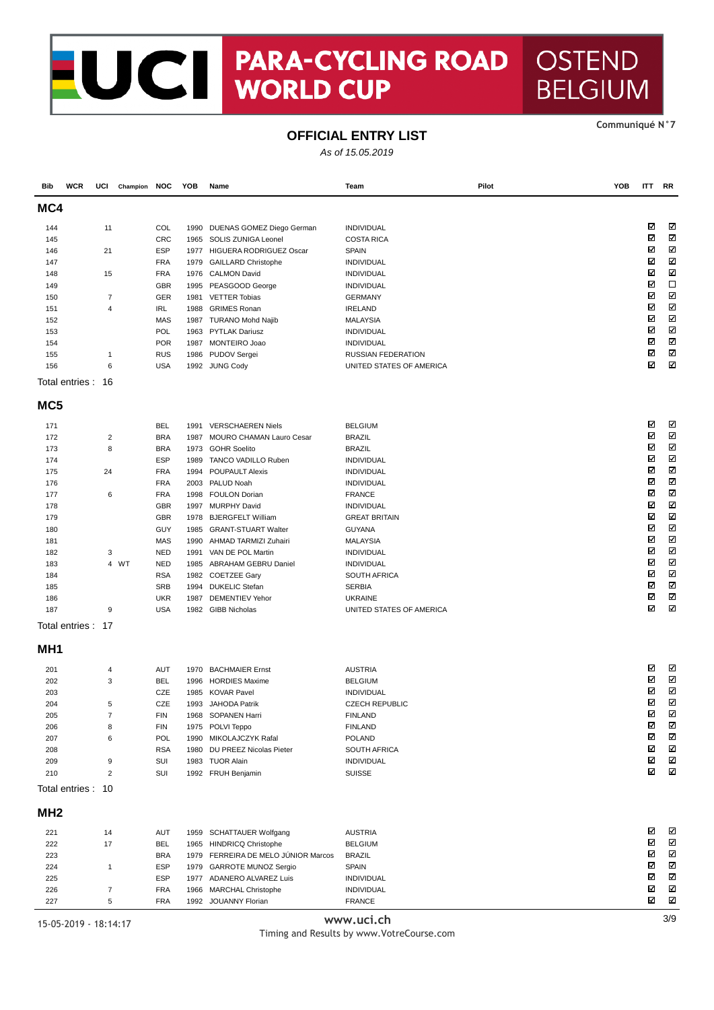## NO CONTRACTE **PARA-CYCLING ROAD OSTEND**

#### Communiqué N°7

**BELGIUM** 

## **OFFICIAL ENTRY LIST**

As of 15.05.2019

| Bib             | <b>WCR</b>        | UCI                     | Champion NOC |                          | YOB  | Name                                                   | Team                                 | Pilot | YOB | <b>ITT</b>  | <b>RR</b>               |
|-----------------|-------------------|-------------------------|--------------|--------------------------|------|--------------------------------------------------------|--------------------------------------|-------|-----|-------------|-------------------------|
| MC4             |                   |                         |              |                          |      |                                                        |                                      |       |     |             |                         |
| 144             |                   | 11                      |              | COL                      | 1990 | DUENAS GOMEZ Diego German                              | <b>INDIVIDUAL</b>                    |       |     | ☑           | ☑                       |
| 145             |                   |                         |              | <b>CRC</b>               | 1965 | SOLIS ZUNIGA Leonel                                    | <b>COSTA RICA</b>                    |       |     | ⊠           | $\overline{\mathbf{z}}$ |
| 146             |                   | 21                      |              | <b>ESP</b>               |      | 1977 HIGUERA RODRIGUEZ Oscar                           | <b>SPAIN</b>                         |       |     | ☑           | Ν                       |
| 147             |                   |                         |              | <b>FRA</b>               | 1979 | <b>GAILLARD Christophe</b>                             | <b>INDIVIDUAL</b>                    |       |     | ☑           | Σ                       |
| 148             |                   | 15                      |              | <b>FRA</b>               |      | 1976 CALMON David                                      | INDIVIDUAL                           |       |     | ⊠           | Σ                       |
| 149             |                   |                         |              | <b>GBR</b>               | 1995 | PEASGOOD George                                        | <b>INDIVIDUAL</b>                    |       |     | ⊠           | $\Box$<br>Μ             |
| 150             |                   | 7                       |              | GER                      | 1981 | <b>VETTER Tobias</b>                                   | <b>GERMANY</b>                       |       |     | ⊠<br>☑      | Ν                       |
| 151             |                   | 4                       |              | IRL                      | 1988 | <b>GRIMES Ronan</b>                                    | <b>IRELAND</b>                       |       |     | ⊠           | Σ                       |
| 152<br>153      |                   |                         |              | <b>MAS</b><br>POL        | 1963 | 1987 TURANO Mohd Najib<br><b>PYTLAK Dariusz</b>        | <b>MALAYSIA</b><br><b>INDIVIDUAL</b> |       |     | ⊠           | Μ                       |
| 154             |                   |                         |              | <b>POR</b>               | 1987 | MONTEIRO Joao                                          | <b>INDIVIDUAL</b>                    |       |     | ⊠           | Ν                       |
| 155             |                   | 1                       |              | <b>RUS</b>               | 1986 | PUDOV Sergei                                           | <b>RUSSIAN FEDERATION</b>            |       |     | ⊠           | $\boldsymbol{\nabla}$   |
| 156             |                   | 6                       |              | <b>USA</b>               |      | 1992 JUNG Cody                                         | UNITED STATES OF AMERICA             |       |     | ☑           | Ν                       |
|                 | Total entries: 16 |                         |              |                          |      |                                                        |                                      |       |     |             |                         |
| MC <sub>5</sub> |                   |                         |              |                          |      |                                                        |                                      |       |     |             |                         |
|                 |                   |                         |              |                          |      |                                                        |                                      |       |     | ⊠           | ☑                       |
| 171             |                   | $\overline{\mathbf{c}}$ |              | <b>BEL</b><br><b>BRA</b> | 1987 | 1991 VERSCHAEREN Niels                                 | <b>BELGIUM</b><br><b>BRAZIL</b>      |       |     | ⊠           | N                       |
| 172<br>173      |                   | 8                       |              | <b>BRA</b>               |      | MOURO CHAMAN Lauro Cesar<br>1973 GOHR Soelito          | <b>BRAZIL</b>                        |       |     | ☑           | N                       |
| 174             |                   |                         |              | <b>ESP</b>               | 1989 | <b>TANCO VADILLO Ruben</b>                             | <b>INDIVIDUAL</b>                    |       |     | ☑           | Ν                       |
| 175             |                   | 24                      |              | <b>FRA</b>               | 1994 | <b>POUPAULT Alexis</b>                                 | INDIVIDUAL                           |       |     | ⊠           | ☑                       |
| 176             |                   |                         |              | <b>FRA</b>               | 2003 | PALUD Noah                                             | <b>INDIVIDUAL</b>                    |       |     | ⊠           | N                       |
| 177             |                   | 6                       |              | <b>FRA</b>               | 1998 | <b>FOULON Dorian</b>                                   | <b>FRANCE</b>                        |       |     | ☑           | Ν                       |
| 178             |                   |                         |              | <b>GBR</b>               | 1997 | <b>MURPHY David</b>                                    | <b>INDIVIDUAL</b>                    |       |     | ⊠           | N                       |
| 179             |                   |                         |              | <b>GBR</b>               | 1978 | <b>BJERGFELT William</b>                               | <b>GREAT BRITAIN</b>                 |       |     | ⊠           | Ν                       |
| 180             |                   |                         |              | GUY                      | 1985 | <b>GRANT-STUART Walter</b>                             | <b>GUYANA</b>                        |       |     | ⊠           | Σ                       |
| 181             |                   |                         |              | <b>MAS</b>               | 1990 | AHMAD TARMIZI Zuhairi                                  | <b>MALAYSIA</b>                      |       |     | ⊠           | Μ                       |
| 182             |                   | 3                       |              | <b>NED</b>               | 1991 | VAN DE POL Martin                                      | <b>INDIVIDUAL</b>                    |       |     | ⊠           | Ν                       |
| 183             |                   |                         | 4 WT         | <b>NED</b>               | 1985 | <b>ABRAHAM GEBRU Daniel</b>                            | <b>INDIVIDUAL</b>                    |       |     | ⊠           | Σ                       |
| 184             |                   |                         |              | <b>RSA</b>               |      | 1982 COETZEE Gary                                      | SOUTH AFRICA                         |       |     | ⊠           | Ν                       |
| 185             |                   |                         |              | <b>SRB</b>               | 1994 | <b>DUKELIC Stefan</b>                                  | <b>SERBIA</b>                        |       |     | ☑           | K                       |
| 186             |                   |                         |              | <b>UKR</b>               | 1987 | <b>DEMENTIEV Yehor</b>                                 | <b>UKRAINE</b>                       |       |     | ⊠           | Μ                       |
| 187             |                   | 9                       |              | <b>USA</b>               |      | 1982 GIBB Nicholas                                     | UNITED STATES OF AMERICA             |       |     | ⊠           | Ν                       |
|                 | Total entries: 17 |                         |              |                          |      |                                                        |                                      |       |     |             |                         |
| MH <sub>1</sub> |                   |                         |              |                          |      |                                                        |                                      |       |     |             |                         |
| 201             |                   | 4                       |              | AUT                      | 1970 | <b>BACHMAIER Ernst</b>                                 | <b>AUSTRIA</b>                       |       |     | ☑           | ☑                       |
| 202             |                   | 3                       |              | <b>BEL</b>               | 1996 | <b>HORDIES Maxime</b>                                  | <b>BELGIUM</b>                       |       |     | ⊠           | Ν                       |
| 203             |                   |                         |              | CZE                      | 1985 | <b>KOVAR Pavel</b>                                     | <b>INDIVIDUAL</b>                    |       |     | ⊠           | $\boldsymbol{\nabla}$   |
| 204             |                   | 5                       |              | CZE                      | 1993 | JAHODA Patrik                                          | <b>CZECH REPUBLIC</b>                |       |     | ⊠           | Ν                       |
| 205             |                   | $\overline{7}$          |              | <b>FIN</b>               |      | 1968 SOPANEN Harri                                     | <b>FINLAND</b>                       |       |     | M           | K                       |
| 206             |                   | 8                       |              | <b>FIN</b>               |      | 1975 POLVI Teppo                                       | <b>FINLAND</b>                       |       |     | $\boxtimes$ | N                       |
| 207             |                   | 6                       |              | POL                      |      | 1990 MIKOLAJCZYK Rafal                                 | POLAND                               |       |     | ☑<br>⊠      | N<br>N                  |
| 208             |                   |                         |              | <b>RSA</b>               | 1980 | DU PREEZ Nicolas Pieter<br>1983 TUOR Alain             | SOUTH AFRICA                         |       |     | ⊠           | N                       |
| 209<br>210      |                   | 9<br>$\overline{2}$     |              | SUI<br>SUI               |      | 1992 FRUH Benjamin                                     | INDIVIDUAL<br><b>SUISSE</b>          |       |     | ☑           | Ν                       |
|                 | Total entries: 10 |                         |              |                          |      |                                                        |                                      |       |     |             |                         |
| MH <sub>2</sub> |                   |                         |              |                          |      |                                                        |                                      |       |     |             |                         |
|                 |                   |                         |              |                          |      |                                                        |                                      |       |     |             |                         |
| 221             |                   | 14                      |              | AUT                      | 1959 | <b>SCHATTAUER Wolfgang</b>                             | <b>AUSTRIA</b>                       |       |     | ☑           | K                       |
| 222             |                   | 17                      |              | <b>BEL</b>               |      | 1965 HINDRICQ Christophe                               | <b>BELGIUM</b>                       |       |     | ⊠           | N                       |
| 223             |                   |                         |              | <b>BRA</b>               | 1979 | FERREIRA DE MELO JÚNIOR Marcos                         | <b>BRAZIL</b>                        |       |     | ⊠<br>☑      | N<br>N                  |
| 224             |                   | $\mathbf{1}$            |              | <b>ESP</b>               |      | 1979 GARROTE MUNOZ Sergio                              | <b>SPAIN</b>                         |       |     | ⊠           | N                       |
| 225<br>226      |                   | $\overline{7}$          |              | <b>ESP</b><br><b>FRA</b> | 1966 | 1977 ADANERO ALVAREZ Luis<br><b>MARCHAL Christophe</b> | INDIVIDUAL<br>INDIVIDUAL             |       |     | ☑           | N                       |
| 227             |                   | 5                       |              | <b>FRA</b>               |      | 1992 JOUANNY Florian                                   | <b>FRANCE</b>                        |       |     | N           | N                       |
|                 |                   |                         |              |                          |      |                                                        | بالمارك                              |       |     |             | 20                      |

15-05-2019 - 18:14:17

www.uci.ch Timing and Results by www.VotreCourse.com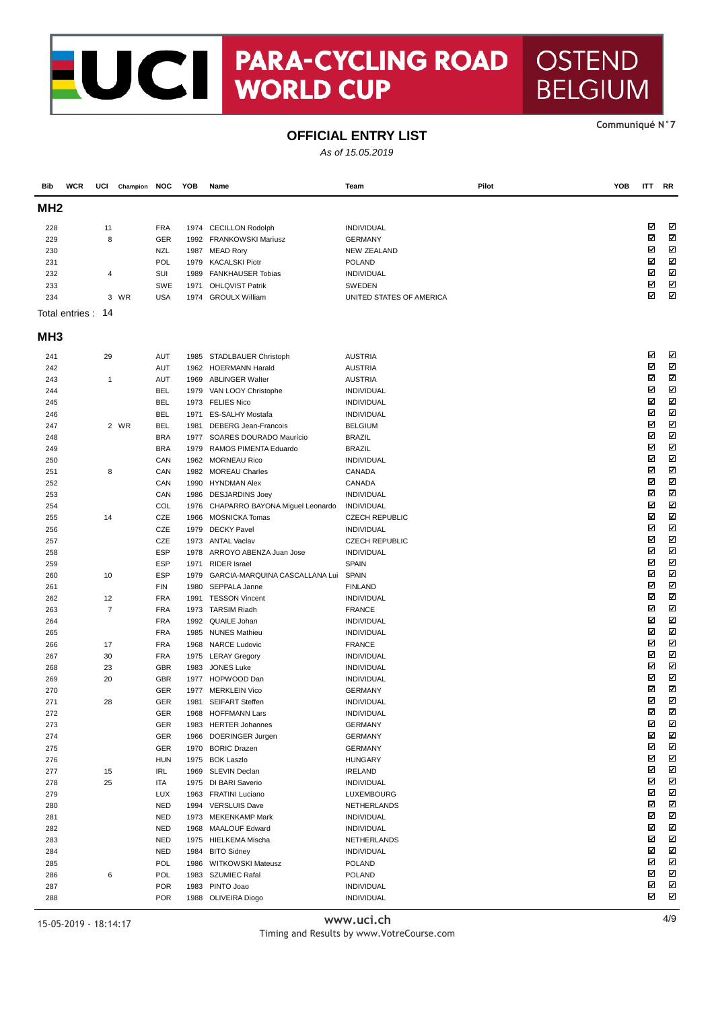# NOCH PARA-CYCLII **PARA-CYCLING ROAD**

#### Communiqué N°7

**OSTEND** 

**BELGIUM** 

### **OFFICIAL ENTRY LIST**

As of 15.05.2019

| Bib             | <b>WCR</b>         | UCI                  | Champion NOC |                          | YOB  | Name                                       | Team                               | Pilot | YOB | ITT    | RR                    |
|-----------------|--------------------|----------------------|--------------|--------------------------|------|--------------------------------------------|------------------------------------|-------|-----|--------|-----------------------|
| MH <sub>2</sub> |                    |                      |              |                          |      |                                            |                                    |       |     |        |                       |
| 228             |                    | 11                   |              | <b>FRA</b>               | 1974 | <b>CECILLON Rodolph</b>                    | INDIVIDUAL                         |       |     | ☑      | K                     |
| 229             |                    | 8                    |              | GER                      |      | 1992 FRANKOWSKI Mariusz                    | <b>GERMANY</b>                     |       |     | ☑      | Ν                     |
| 230             |                    |                      |              | <b>NZL</b>               |      | 1987 MEAD Rory                             | <b>NEW ZEALAND</b>                 |       |     | ☑      | Ν                     |
| 231             |                    |                      |              | POL                      | 1979 | <b>KACALSKI Piotr</b>                      | <b>POLAND</b>                      |       |     | ☑      | M                     |
| 232             |                    | 4                    |              | SUI                      | 1989 | <b>FANKHAUSER Tobias</b>                   | <b>INDIVIDUAL</b>                  |       |     | ☑      | Ν                     |
| 233             |                    |                      |              | <b>SWE</b>               | 1971 | <b>OHLQVIST Patrik</b>                     | SWEDEN                             |       |     | ☑      | Μ                     |
| 234             |                    |                      | 3 WR         | <b>USA</b>               |      | 1974 GROULX William                        | UNITED STATES OF AMERICA           |       |     | ⊠      | $\blacksquare$        |
|                 | Total entries : 14 |                      |              |                          |      |                                            |                                    |       |     |        |                       |
| MH <sub>3</sub> |                    |                      |              |                          |      |                                            |                                    |       |     |        |                       |
| 241             |                    | 29                   |              | <b>AUT</b>               | 1985 | STADLBAUER Christoph                       | <b>AUSTRIA</b>                     |       |     | ☑      | K                     |
| 242             |                    |                      |              | <b>AUT</b>               | 1962 | <b>HOERMANN Harald</b>                     | <b>AUSTRIA</b>                     |       |     | ⊠      | Ν                     |
| 243             |                    | $\mathbf{1}$         |              | <b>AUT</b>               | 1969 | <b>ABLINGER Walter</b>                     | <b>AUSTRIA</b>                     |       |     | ☑      | Μ                     |
| 244             |                    |                      |              | <b>BEL</b>               | 1979 | VAN LOOY Christophe                        | INDIVIDUAL                         |       |     | ⊠      | ⊠                     |
| 245             |                    |                      |              | <b>BEL</b>               |      | 1973 FELIES Nico                           | INDIVIDUAL                         |       |     | ☑      | Ν                     |
| 246             |                    |                      |              | <b>BEL</b>               | 1971 | ES-SALHY Mostafa                           | <b>INDIVIDUAL</b>                  |       |     | ⊠      | N                     |
| 247             |                    |                      | 2 WR         | <b>BEL</b>               | 1981 | <b>DEBERG Jean-Francois</b>                | <b>BELGIUM</b>                     |       |     | ⊠      | Ν                     |
| 248             |                    |                      |              | <b>BRA</b>               | 1977 | SOARES DOURADO Maurício                    | <b>BRAZIL</b>                      |       |     | ⊠      | N                     |
| 249             |                    |                      |              | <b>BRA</b>               | 1979 | RAMOS PIMENTA Eduardo                      | <b>BRAZIL</b>                      |       |     | ⊠      | M                     |
| 250             |                    |                      |              | CAN                      |      | 1962 MORNEAU Rico                          | <b>INDIVIDUAL</b>                  |       |     | ⊠      | Ν                     |
| 251             |                    | 8                    |              | CAN                      |      | 1982 MOREAU Charles                        | CANADA                             |       |     | ☑      | N                     |
| 252             |                    |                      |              | CAN                      | 1990 | <b>HYNDMAN Alex</b>                        | CANADA                             |       |     | ☑      | Ν                     |
| 253             |                    |                      |              | CAN                      |      | 1986 DESJARDINS Joey                       | INDIVIDUAL                         |       |     | ☑      | Ν                     |
| 254             |                    |                      |              | COL                      | 1976 | CHAPARRO BAYONA Miguel Leonardo            | <b>INDIVIDUAL</b>                  |       |     | ⊠      | M                     |
| 255             |                    | 14                   |              | CZE                      |      | 1966 MOSNICKA Tomas                        | <b>CZECH REPUBLIC</b>              |       |     | ☑<br>☑ | Ν<br>K                |
| 256             |                    |                      |              | CZE                      | 1979 | <b>DECKY Pavel</b>                         | <b>INDIVIDUAL</b>                  |       |     | ☑      | Μ                     |
| 257             |                    |                      |              | CZE                      |      | 1973 ANTAL Vaclav                          | <b>CZECH REPUBLIC</b>              |       |     | ☑      | Ν                     |
| 258             |                    |                      |              | <b>ESP</b>               | 1978 | ARROYO ABENZA Juan Jose                    | INDIVIDUAL                         |       |     | ⊠      | M                     |
| 259             |                    |                      |              | <b>ESP</b>               | 1971 | <b>RIDER Israel</b>                        | <b>SPAIN</b>                       |       |     | ☑      | Ν                     |
| 260             |                    | 10                   |              | <b>ESP</b><br><b>FIN</b> | 1979 | GARCIA-MARQUINA CASCALLANA Lui             | SPAIN                              |       |     | ☑      | Μ                     |
| 261             |                    |                      |              |                          | 1980 | SEPPALA Janne                              | <b>FINLAND</b>                     |       |     | ⊠      | M                     |
| 262<br>263      |                    | 12<br>$\overline{7}$ |              | <b>FRA</b><br><b>FRA</b> | 1991 | <b>TESSON Vincent</b><br>1973 TARSIM Riadh | <b>INDIVIDUAL</b><br><b>FRANCE</b> |       |     | ☑      | Ν                     |
| 264             |                    |                      |              | <b>FRA</b>               | 1992 | QUAILE Johan                               | INDIVIDUAL                         |       |     | ⊠      | K                     |
| 265             |                    |                      |              | <b>FRA</b>               |      | 1985 NUNES Mathieu                         | <b>INDIVIDUAL</b>                  |       |     | ⊠      | Ν                     |
| 266             |                    | 17                   |              | <b>FRA</b>               | 1968 | <b>NARCE Ludovic</b>                       | <b>FRANCE</b>                      |       |     | ⊠      | Ν                     |
| 267             |                    | 30                   |              | <b>FRA</b>               |      | 1975 LERAY Gregory                         | <b>INDIVIDUAL</b>                  |       |     | ⊠      | M                     |
| 268             |                    | 23                   |              | <b>GBR</b>               | 1983 | <b>JONES Luke</b>                          | <b>INDIVIDUAL</b>                  |       |     | ☑      | Ν                     |
| 269             |                    | 20                   |              | <b>GBR</b>               |      | 1977 HOPWOOD Dan                           | INDIVIDUAL                         |       |     | ⊠      | K                     |
| 270             |                    |                      |              | GER                      |      | 1977 MERKLEIN Vico                         | <b>GERMANY</b>                     |       |     | ⊠      | Σ                     |
| 271             |                    | 28                   |              | GER                      | 1981 | <b>SEIFART Steffen</b>                     | INDIVIDUAL                         |       |     | ⊠      | Ν                     |
| 272             |                    |                      |              | GER                      |      | 1968 HOFFMANN Lars                         | INDIVIDUAL                         |       |     | ☑      | Ν                     |
| 273             |                    |                      |              | GER                      |      | 1983 HERTER Johannes                       | <b>GERMANY</b>                     |       |     | ☑      | N                     |
| 274             |                    |                      |              | GER                      |      | 1966 DOERINGER Jurgen                      | <b>GERMANY</b>                     |       |     | Ν      | N                     |
| 275             |                    |                      |              | GER                      |      | 1970 BORIC Drazen                          | <b>GERMANY</b>                     |       |     | ⊠      | N                     |
| 276             |                    |                      |              | <b>HUN</b>               | 1975 | <b>BOK Laszlo</b>                          | <b>HUNGARY</b>                     |       |     | ⊠      | N                     |
| 277             |                    | 15                   |              | IRL                      | 1969 | SLEVIN Declan                              | <b>IRELAND</b>                     |       |     | ⊠      | N                     |
| 278             |                    | 25                   |              | ITA                      |      | 1975 DI BARI Saverio                       | INDIVIDUAL                         |       |     | ⊠      | N                     |
| 279             |                    |                      |              | LUX                      | 1963 | <b>FRATINI Luciano</b>                     | LUXEMBOURG                         |       |     | Ν      | N                     |
| 280             |                    |                      |              | <b>NED</b>               |      | 1994 VERSLUIS Dave                         | NETHERLANDS                        |       |     | ⊠      | $\boxtimes$           |
| 281             |                    |                      |              | <b>NED</b>               |      | 1973 MEKENKAMP Mark                        | INDIVIDUAL                         |       |     | ⊠      | N                     |
| 282             |                    |                      |              | <b>NED</b>               |      | 1968 MAALOUF Edward                        | INDIVIDUAL                         |       |     | ⊠      | K                     |
| 283             |                    |                      |              | <b>NED</b>               |      | 1975 HIELKEMA Mischa                       | NETHERLANDS                        |       |     | ⊠      | $\boldsymbol{\nabla}$ |
| 284             |                    |                      |              | <b>NED</b>               |      | 1984 BITO Sidney                           | <b>INDIVIDUAL</b>                  |       |     | Ν      | Ν                     |
| 285             |                    |                      |              | POL                      | 1986 | <b>WITKOWSKI Mateusz</b>                   | <b>POLAND</b>                      |       |     | ⊠      | N                     |
| 286             |                    | 6                    |              | POL                      | 1983 | <b>SZUMIEC Rafal</b>                       | <b>POLAND</b>                      |       |     | ⊠      | N                     |
| 287             |                    |                      |              | <b>POR</b>               | 1983 | PINTO Joao                                 | INDIVIDUAL                         |       |     | ☑      | K                     |
| 288             |                    |                      |              | <b>POR</b>               |      | 1988 OLIVEIRA Diogo                        | INDIVIDUAL                         |       |     | ⊠      | N                     |

www.uci.ch Timing and Results by www.VotreCourse.com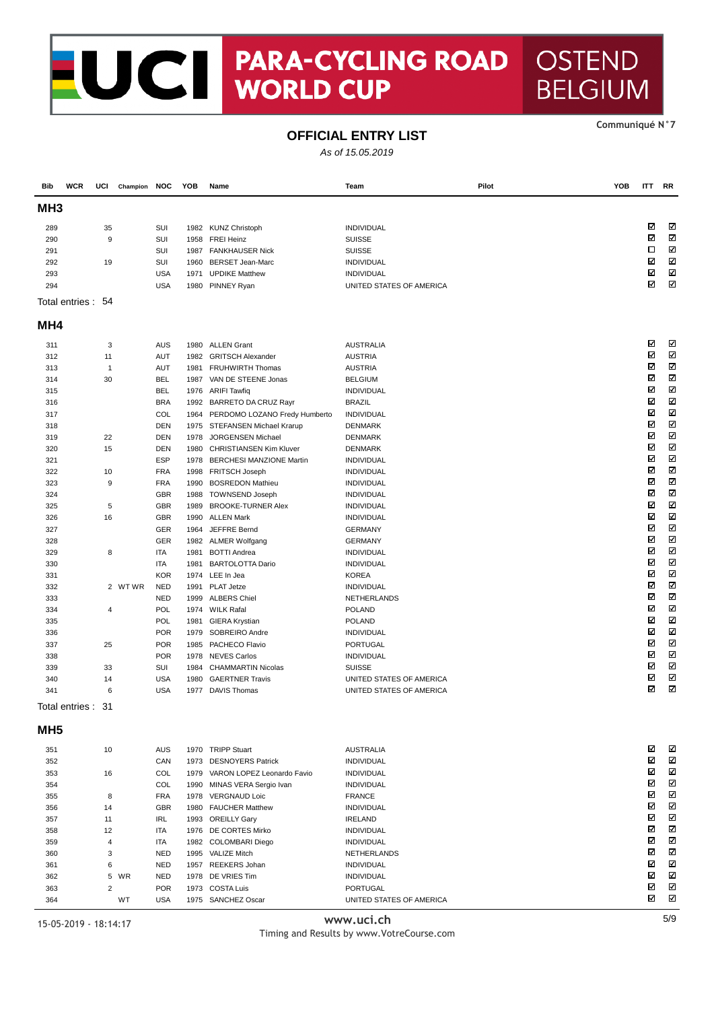## NOCI PARA-CYCLII **PARA-CYCLING ROAD**

#### Communiqué N°7

**OSTEND** 

**BELGIUM** 

#### **OFFICIAL ENTRY LIST**

As of 15.05.2019

| Bib             | <b>WCR</b>         | UCI            | Champion NOC |                   | YOB  | Name                                         | Team                         | Pilot | YOB | <b>ITT</b> | RR                      |
|-----------------|--------------------|----------------|--------------|-------------------|------|----------------------------------------------|------------------------------|-------|-----|------------|-------------------------|
| MH <sub>3</sub> |                    |                |              |                   |      |                                              |                              |       |     |            |                         |
| 289             |                    | 35             |              | SUI               |      | 1982 KUNZ Christoph                          | INDIVIDUAL                   |       |     | ⊠          | ☑                       |
| 290             |                    | 9              |              | <b>SUI</b>        |      | 1958 FREI Heinz                              | <b>SUISSE</b>                |       |     | ☑          | N                       |
| 291             |                    |                |              | <b>SUI</b>        |      | 1987 FANKHAUSER Nick                         | <b>SUISSE</b>                |       |     | □          | Ν                       |
| 292             |                    | 19             |              | SUI               | 1960 | <b>BERSET Jean-Marc</b>                      | INDIVIDUAL                   |       |     | ☑          | K                       |
| 293             |                    |                |              | <b>USA</b>        | 1971 | <b>UPDIKE Matthew</b>                        | INDIVIDUAL                   |       |     | ☑          | Ν                       |
| 294             |                    |                |              | <b>USA</b>        |      | 1980 PINNEY Ryan                             | UNITED STATES OF AMERICA     |       |     | ☑          | K                       |
|                 | Total entries : 54 |                |              |                   |      |                                              |                              |       |     |            |                         |
| MH4             |                    |                |              |                   |      |                                              |                              |       |     |            |                         |
| 311             |                    | 3              |              | <b>AUS</b>        |      | 1980 ALLEN Grant                             | <b>AUSTRALIA</b>             |       |     | ☑          | K                       |
| 312             |                    | 11             |              | AUT               | 1982 | <b>GRITSCH Alexander</b>                     | <b>AUSTRIA</b>               |       |     | ⊠          | N                       |
| 313             |                    | 1              |              | AUT               | 1981 | <b>FRUHWIRTH Thomas</b>                      | <b>AUSTRIA</b>               |       |     | ⊠          | Ν                       |
| 314             |                    | 30             |              | <b>BEL</b>        | 1987 | VAN DE STEENE Jonas                          | <b>BELGIUM</b>               |       |     | ☑          | Μ                       |
| 315             |                    |                |              | <b>BEL</b>        |      | 1976 ARIFI Tawfiq                            | <b>INDIVIDUAL</b>            |       |     | ☑          | Μ                       |
| 316             |                    |                |              | <b>BRA</b>        |      | 1992 BARRETO DA CRUZ Rayr                    | <b>BRAZIL</b>                |       |     | ☑          | Ν                       |
| 317             |                    |                |              | COL               |      | 1964 PERDOMO LOZANO Fredy Humberto           | <b>INDIVIDUAL</b>            |       |     | ☑          | ☑                       |
| 318             |                    |                |              | <b>DEN</b>        |      | 1975 STEFANSEN Michael Krarup                | <b>DENMARK</b>               |       |     | ⊠          | Ν                       |
| 319             |                    | 22             |              | <b>DEN</b>        | 1978 | JORGENSEN Michael                            | <b>DENMARK</b>               |       |     | ☑          | Μ                       |
| 320             |                    | 15             |              | <b>DEN</b>        |      | 1980 CHRISTIANSEN Kim Kluver                 | <b>DENMARK</b>               |       |     | ☑          | M                       |
| 321             |                    |                |              | <b>ESP</b>        |      | 1978 BERCHESI MANZIONE Martin                | INDIVIDUAL                   |       |     | ☑          | Ν                       |
| 322             |                    | 10             |              | <b>FRA</b>        |      | 1998 FRITSCH Joseph                          | INDIVIDUAL                   |       |     | ☑          | ☑                       |
| 323             |                    | 9              |              | <b>FRA</b>        | 1990 | <b>BOSREDON Mathieu</b>                      | <b>INDIVIDUAL</b>            |       |     | ☑          | $\overline{\mathbf{M}}$ |
| 324             |                    |                |              | <b>GBR</b>        | 1988 | <b>TOWNSEND Joseph</b>                       | <b>INDIVIDUAL</b>            |       |     | ☑          | Ν<br>M                  |
| 325             |                    | 5              |              | <b>GBR</b>        | 1989 | <b>BROOKE-TURNER Alex</b>                    | <b>INDIVIDUAL</b>            |       |     | ☑<br>☑     | Ν                       |
| 326             |                    | 16             |              | <b>GBR</b>        |      | 1990 ALLEN Mark                              | INDIVIDUAL                   |       |     | ☑          | ☑                       |
| 327             |                    |                |              | <b>GER</b>        | 1964 | JEFFRE Bernd                                 | <b>GERMANY</b>               |       |     | ⊠          | Μ                       |
| 328             |                    |                |              | GER               |      | 1982 ALMER Wolfgang                          | <b>GERMANY</b>               |       |     | ☑          | Ν                       |
| 329             |                    | 8              |              | ITA               | 1981 | <b>BOTTI Andrea</b>                          | INDIVIDUAL                   |       |     | ⊠          | M                       |
| 330             |                    |                |              | <b>ITA</b>        | 1981 | <b>BARTOLOTTA Dario</b>                      | <b>INDIVIDUAL</b>            |       |     | ☑          | Ν                       |
| 331             |                    |                |              | <b>KOR</b>        |      | 1974 LEE In Jea                              | <b>KOREA</b>                 |       |     | ⊠          | ☑                       |
| 332             |                    |                | 2 WTWR       | <b>NED</b>        | 1991 | PLAT Jetze                                   | <b>INDIVIDUAL</b>            |       |     | ⊠          | M                       |
| 333<br>334      |                    | 4              |              | <b>NED</b><br>POL |      | 1999 ALBERS Chiel<br>1974 WILK Rafal         | NETHERLANDS<br><b>POLAND</b> |       |     | ☑          | Ν                       |
| 335             |                    |                |              | POL               | 1981 |                                              | <b>POLAND</b>                |       |     | ⊠          | M                       |
| 336             |                    |                |              | <b>POR</b>        |      | <b>GIERA Krystian</b><br>1979 SOBREIRO Andre | INDIVIDUAL                   |       |     | ⊠          | Ν                       |
| 337             |                    | 25             |              | <b>POR</b>        |      | 1985 PACHECO Flavio                          | PORTUGAL                     |       |     | ☑          | Ν                       |
| 338             |                    |                |              | <b>POR</b>        |      | 1978 NEVES Carlos                            | INDIVIDUAL                   |       |     | ⊠          | $\blacksquare$          |
| 339             |                    | 33             |              | SUI               | 1984 | <b>CHAMMARTIN Nicolas</b>                    | <b>SUISSE</b>                |       |     | ☑          | Ν                       |
| 340             |                    | 14             |              | <b>USA</b>        | 1980 | <b>GAERTNER Travis</b>                       | UNITED STATES OF AMERICA     |       |     | ☑          | K                       |
| 341             |                    | 6              |              | <b>USA</b>        | 1977 | <b>DAVIS Thomas</b>                          | UNITED STATES OF AMERICA     |       |     | ⊠          | Σ                       |
|                 | Total entries :    | 31             |              |                   |      |                                              |                              |       |     |            |                         |
| MH <sub>5</sub> |                    |                |              |                   |      |                                              |                              |       |     |            |                         |
| 351             |                    | 10             |              | <b>AUS</b>        |      | 1970 TRIPP Stuart                            | <b>AUSTRALIA</b>             |       |     | ⊠          | ☑                       |
| 352             |                    |                |              | CAN               |      | 1973 DESNOYERS Patrick                       | INDIVIDUAL                   |       |     | ⊠          | Ν                       |
| 353             |                    | 16             |              | COL               |      | 1979 VARON LOPEZ Leonardo Favio              | INDIVIDUAL                   |       |     | ☑          | K                       |
| 354             |                    |                |              | COL               |      | 1990 MINAS VERA Sergio Ivan                  | INDIVIDUAL                   |       |     | ⊠          | $\boxtimes$             |
| 355             |                    | 8              |              | <b>FRA</b>        |      | 1978 VERGNAUD Loic                           | <b>FRANCE</b>                |       |     | ☑          | N                       |
| 356             |                    | 14             |              | <b>GBR</b>        |      | 1980 FAUCHER Matthew                         | INDIVIDUAL                   |       |     | ⊠          | N                       |
| 357             |                    | 11             |              | IRL               |      | 1993 OREILLY Gary                            | <b>IRELAND</b>               |       |     | ⊠          | Ν                       |
| 358             |                    | 12             |              | ITA               |      | 1976 DE CORTES Mirko                         | INDIVIDUAL                   |       |     | ☑          | N                       |
| 359             |                    | 4              |              | ITA               |      | 1982 COLOMBARI Diego                         | INDIVIDUAL                   |       |     | ⊠          | $\boxtimes$             |
| 360             |                    | 3              |              | <b>NED</b>        |      | 1995 VALIZE Mitch                            | NETHERLANDS                  |       |     | ☑          | Ν                       |
| 361             |                    | 6              |              | <b>NED</b>        |      | 1957 REEKERS Johan                           | INDIVIDUAL                   |       |     | ⊠          | N                       |
| 362             |                    | 5              | WR           | <b>NED</b>        |      | 1978 DE VRIES Tim                            | INDIVIDUAL                   |       |     | ⊠          | N                       |
| 363             |                    | $\overline{2}$ |              | <b>POR</b>        |      | 1973 COSTA Luis                              | PORTUGAL                     |       |     | ☑          | Ν                       |
| 364             |                    |                | WT           | <b>USA</b>        |      | 1975 SANCHEZ Oscar                           | UNITED STATES OF AMERICA     |       |     | ⊠          | Ν                       |
| $4E$ QE $2040$  |                    | 10.11.17       |              |                   |      |                                              | www.uci.ch                   |       |     |            | 5/9                     |

#### $\overline{a}$

15-05-2019 - 18:14:17

Timing and Results by www.VotreCourse.com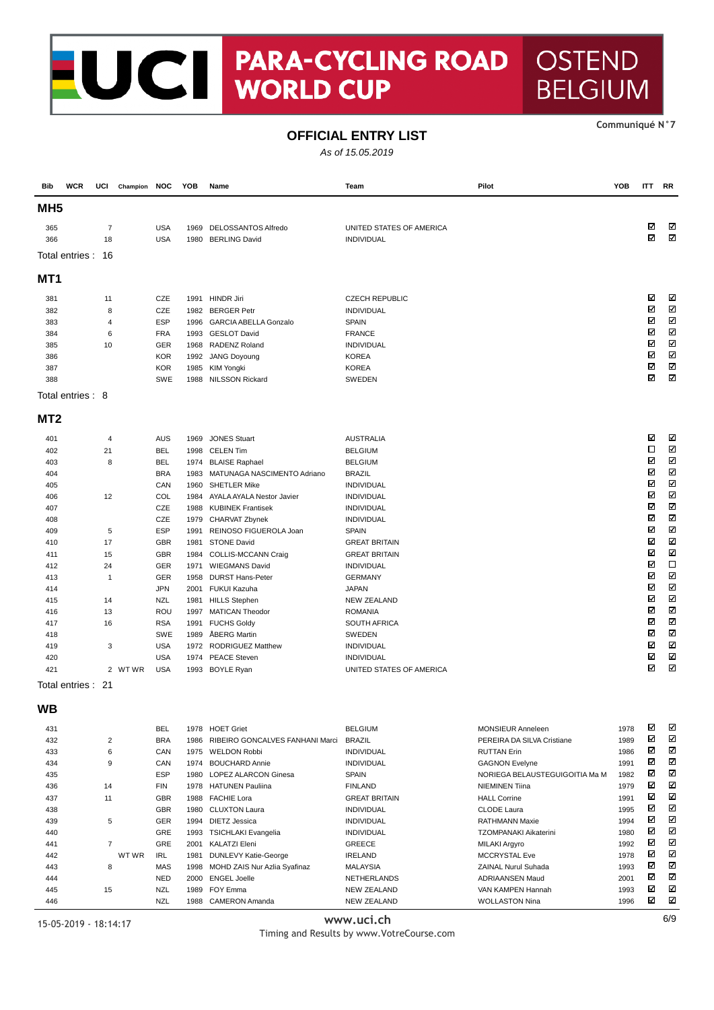## PARA-CYCLING ROAD<br>WORLD CUP CI

#### Communiqué N°7

YOB

**ITT RR** 

**OSTEND** 

Pilot

**BELGIUM** 

### **OFFICIAL ENTRY LIST**

As of 15.05.2019

Team

| MH <sub>5</sub>   |                |                          |      |                                             |                                    |                                |      |        |                              |
|-------------------|----------------|--------------------------|------|---------------------------------------------|------------------------------------|--------------------------------|------|--------|------------------------------|
| 365               | 7              | <b>USA</b>               |      | 1969 DELOSSANTOS Alfredo                    | UNITED STATES OF AMERICA           |                                |      | ⊠      | ⊠                            |
| 366               | 18             | <b>USA</b>               |      | 1980 BERLING David                          | INDIVIDUAL                         |                                |      | ☑      | Ν                            |
| Total entries :   | -16            |                          |      |                                             |                                    |                                |      |        |                              |
| MT1               |                |                          |      |                                             |                                    |                                |      |        |                              |
| 381               | 11             | <b>CZE</b>               |      | 1991 HINDR Jiri                             | <b>CZECH REPUBLIC</b>              |                                |      | ☑      | ☑                            |
| 382               | 8              | CZE                      |      | 1982 BERGER Petr                            | INDIVIDUAL                         |                                |      | ☑      | Ν                            |
| 383               | 4              | <b>ESP</b>               |      | 1996 GARCIA ABELLA Gonzalo                  | <b>SPAIN</b>                       |                                |      | ⊠      | N                            |
| 384               | 6              | <b>FRA</b>               |      | 1993 GESLOT David                           | <b>FRANCE</b>                      |                                |      | ☑      | $\boldsymbol{\nabla}$        |
| 385               | 10             | GER                      |      | 1968 RADENZ Roland                          | INDIVIDUAL                         |                                |      | ☑      | Ν                            |
| 386               |                | <b>KOR</b>               |      | 1992 JANG Doyoung                           | <b>KOREA</b>                       |                                |      | ⊠      | N                            |
| 387               |                | <b>KOR</b>               | 1985 | KIM Yongki                                  | <b>KOREA</b>                       |                                |      | ☑      | Ν                            |
| 388               |                | <b>SWE</b>               |      | 1988 NILSSON Rickard                        | <b>SWEDEN</b>                      |                                |      | ☑      | Σ                            |
| Total entries: 8  |                |                          |      |                                             |                                    |                                |      |        |                              |
| MT <sub>2</sub>   |                |                          |      |                                             |                                    |                                |      |        |                              |
| 401               | 4              | <b>AUS</b>               | 1969 | <b>JONES Stuart</b>                         | <b>AUSTRALIA</b>                   |                                |      | ☑      | V                            |
| 402               | 21             | <b>BEL</b>               |      | 1998 CELEN Tim                              | <b>BELGIUM</b>                     |                                |      | □      | N                            |
| 403               | 8              | <b>BEL</b>               |      | 1974 BLAISE Raphael                         | <b>BELGIUM</b>                     |                                |      | ☑      | Ν                            |
| 404               |                | <b>BRA</b>               |      | 1983 MATUNAGA NASCIMENTO Adriano            | <b>BRAZIL</b>                      |                                |      | ☑      | N                            |
| 405               |                | CAN                      |      | 1960 SHETLER Mike                           | INDIVIDUAL                         |                                |      | ☑      | $\blacksquare$               |
| 406               | 12             | COL                      |      | 1984 AYALA AYALA Nestor Javier              | INDIVIDUAL                         |                                |      | ☑      | Ν                            |
| 407               |                | CZE                      | 1988 | <b>KUBINEK Frantisek</b>                    | INDIVIDUAL                         |                                |      | ☑<br>☑ | $\overline{\mathbf{z}}$<br>N |
| 408               |                | CZE                      | 1979 | CHARVAT Zbynek                              | INDIVIDUAL                         |                                |      | ☑      | Ν                            |
| 409               | 5              | <b>ESP</b>               | 1991 | REINOSO FIGUEROLA Joan                      | <b>SPAIN</b>                       |                                |      | ⊠      | $\blacksquare$               |
| 410               | 17             | <b>GBR</b><br><b>GBR</b> | 1981 | <b>STONE David</b>                          | <b>GREAT BRITAIN</b>               |                                |      | ☑      | Ν                            |
| 411<br>412        | 15<br>24       | GER                      | 1984 | COLLIS-MCCANN Craig<br>1971 WIEGMANS David  | <b>GREAT BRITAIN</b><br>INDIVIDUAL |                                |      | ☑      | $\Box$                       |
| 413               | $\mathbf{1}$   | GER                      | 1958 | <b>DURST Hans-Peter</b>                     | <b>GERMANY</b>                     |                                |      | ☑      | N                            |
| 414               |                | <b>JPN</b>               |      | 2001 FUKUI Kazuha                           | <b>JAPAN</b>                       |                                |      | ☑      | Ν                            |
| 415               | 14             | <b>NZL</b>               | 1981 | <b>HILLS Stephen</b>                        | <b>NEW ZEALAND</b>                 |                                |      | ☑      | K                            |
| 416               | 13             | ROU                      | 1997 | <b>MATICAN Theodor</b>                      | <b>ROMANIA</b>                     |                                |      | ☑      | Ν                            |
| 417               | 16             | <b>RSA</b>               |      | 1991 FUCHS Goldy                            | <b>SOUTH AFRICA</b>                |                                |      | ☑      | K                            |
| 418               |                | <b>SWE</b>               | 1989 | ÅBERG Martin                                | SWEDEN                             |                                |      | ⊠      | $\blacksquare$               |
| 419               | 3              | <b>USA</b>               |      | 1972 RODRIGUEZ Matthew                      | <b>INDIVIDUAL</b>                  |                                |      | ☑      | Ν                            |
| 420               |                | <b>USA</b>               |      | 1974 PEACE Steven                           | INDIVIDUAL                         |                                |      | ☑      | K                            |
| 421               | 2 WTWR         | <b>USA</b>               |      | 1993 BOYLE Ryan                             | UNITED STATES OF AMERICA           |                                |      | ☑      | Ν                            |
| Total entries: 21 |                |                          |      |                                             |                                    |                                |      |        |                              |
| WВ                |                |                          |      |                                             |                                    |                                |      |        |                              |
| 431               |                | <b>BEL</b>               |      | 1978 HOET Griet                             | <b>BELGIUM</b>                     | <b>MONSIEUR Anneleen</b>       | 1978 | ☑      | ☑                            |
| 432               | $\overline{2}$ | <b>BRA</b>               |      | 1986 RIBEIRO GONCALVES FANHANI Marci BRAZIL |                                    | PEREIRA DA SILVA Cristiane     | 1989 | ☑      | Ν                            |
| 433               | 6              | CAN                      |      | 1975 WELDON Robbi                           | INDIVIDUAL                         | <b>RUTTAN Erin</b>             | 1986 | ⊠      | ⊠                            |
| 434               | 9              | CAN                      |      | 1974 BOUCHARD Annie                         | INDIVIDUAL                         | <b>GAGNON Evelyne</b>          | 1991 | ☑      | N                            |
| 435               |                | <b>ESP</b>               |      | 1980 LOPEZ ALARCON Ginesa                   | <b>SPAIN</b>                       | NORIEGA BELAUSTEGUIGOITIA Ma M | 1982 | ☑      | N                            |
| 436               | 14             | FIN                      |      | 1978 HATUNEN Pauliina                       | <b>FINLAND</b>                     | <b>NIEMINEN Tiina</b>          | 1979 | ☑      | N                            |
| 437               | 11             | GBR                      |      | 1988 FACHIE Lora                            | <b>GREAT BRITAIN</b>               | <b>HALL Corrine</b>            | 1991 | ☑      | Ν                            |
| 438               |                | GBR                      |      | 1980 CLUXTON Laura                          | <b>INDIVIDUAL</b>                  | <b>CLODE Laura</b>             | 1995 | ⊠      | K                            |
| 439               | 5              | GER                      |      | 1994 DIETZ Jessica                          | INDIVIDUAL                         | <b>RATHMANN Maxie</b>          | 1994 | ☑      | N                            |
| 440               |                | GRE                      |      | 1993 TSICHLAKI Evangelia                    | <b>INDIVIDUAL</b>                  | TZOMPANAKI Aikaterini          | 1980 | ☑      | Ν                            |
| 441               | $\overline{7}$ | GRE                      |      | 2001 KALATZI Eleni                          | GREECE                             | MILAKI Argyro                  | 1992 | ☑      | N                            |
| 442               | WT WR          | IRL                      |      | 1981 DUNLEVY Katie-George                   | <b>IRELAND</b>                     | MCCRYSTAL Eve                  | 1978 | ☑      | N                            |
| 443               | 8              | MAS                      |      | 1998 MOHD ZAIS Nur Azlia Syafinaz           | <b>MALAYSIA</b>                    | ZAINAL Nurul Suhada            | 1993 | ⊠      | K                            |
| 444               |                | <b>NED</b>               |      | 2000 ENGEL Joelle                           | NETHERLANDS                        | <b>ADRIAANSEN Maud</b>         | 2001 | ☑      | N                            |
| 445               | 15             | <b>NZL</b>               |      | 1989 FOY Emma                               | <b>NEW ZEALAND</b>                 | VAN KAMPEN Hannah              | 1993 | ⊠      | ☑                            |

445 15

446

**WCR** 

UCI Champion NOC YOB Name

**Bib** 

www.uci.ch

NFW ZFALAND

WOLLASTON Nina

Timing and Results by www.VotreCourse.com

 $\boldsymbol{\nabla}$ 

1996

15-05-2019 - 18:14:17

**N71** 

1988 CAMERON Amanda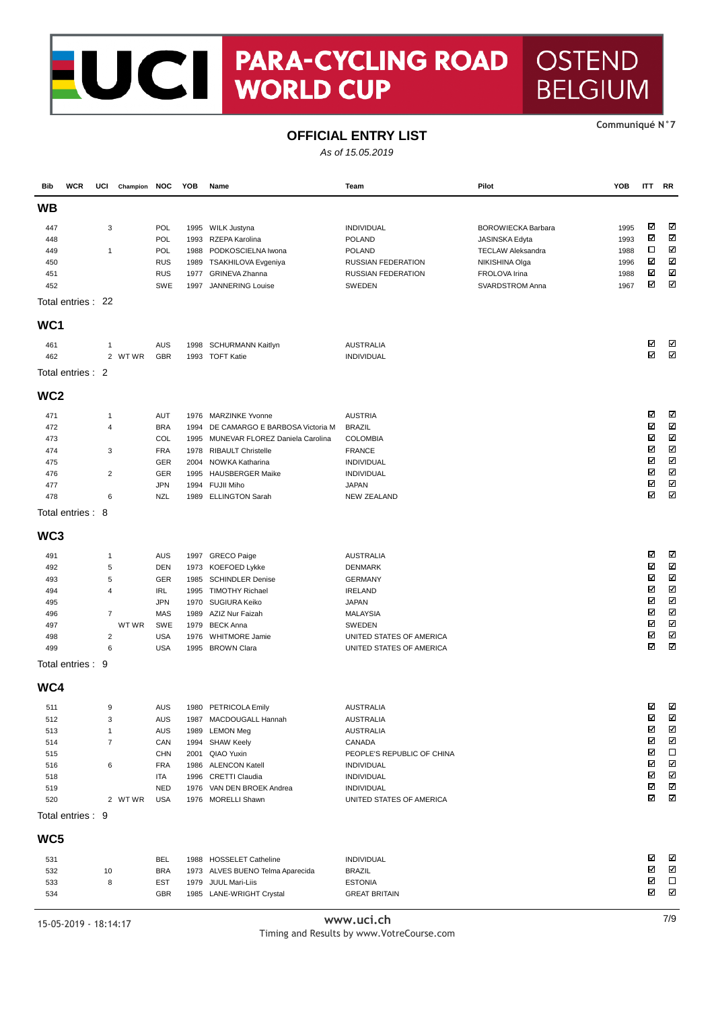# UCT PARA-CYCLII **PARA-CYCLING ROAD**

### **OFFICIAL ENTRY LIST**

As of 15.05.2019

| Bib             | <b>WCR</b>         | UCI            | Champion NOC |            | YOB  | Name                             | Team                       | Pilot                     | YOB  | <b>ITT</b> | RR     |
|-----------------|--------------------|----------------|--------------|------------|------|----------------------------------|----------------------------|---------------------------|------|------------|--------|
| WB              |                    |                |              |            |      |                                  |                            |                           |      |            |        |
| 447             |                    | 3              |              | POL        | 1995 | WILK Justyna                     | INDIVIDUAL                 | <b>BOROWIECKA Barbara</b> | 1995 | ☑          | ⊠      |
| 448             |                    |                |              | POL        | 1993 | RZEPA Karolina                   | <b>POLAND</b>              | JASINSKA Edyta            | 1993 | ☑          | N      |
| 449             |                    | $\mathbf{1}$   |              | POL        | 1988 | PODKOSCIELNA Iwona               | <b>POLAND</b>              | <b>TECLAW Aleksandra</b>  | 1988 | □          | K      |
| 450             |                    |                |              | <b>RUS</b> | 1989 | TSAKHILOVA Evgeniya              | <b>RUSSIAN FEDERATION</b>  | NIKISHINA Olga            | 1996 | ☑          | K      |
| 451             |                    |                |              | <b>RUS</b> | 1977 | GRINEVA Zhanna                   | <b>RUSSIAN FEDERATION</b>  | FROLOVA Irina             | 1988 | ☑          | Ν      |
| 452             |                    |                |              | SWE        | 1997 | <b>JANNERING Louise</b>          | SWEDEN                     | SVARDSTROM Anna           | 1967 | ☑          | K      |
|                 | Total entries : 22 |                |              |            |      |                                  |                            |                           |      |            |        |
| WC <sub>1</sub> |                    |                |              |            |      |                                  |                            |                           |      |            |        |
| 461             |                    | $\mathbf{1}$   |              | <b>AUS</b> |      | 1998 SCHURMANN Kaitlyn           | <b>AUSTRALIA</b>           |                           |      | ☑          | ☑      |
| 462             |                    |                | 2 WTWR       | <b>GBR</b> |      | 1993 TOFT Katie                  | INDIVIDUAL                 |                           |      | ⊠          | ⊠      |
|                 | Total entries: 2   |                |              |            |      |                                  |                            |                           |      |            |        |
| WC <sub>2</sub> |                    |                |              |            |      |                                  |                            |                           |      |            |        |
| 471             |                    | $\mathbf{1}$   |              | <b>AUT</b> | 1976 | <b>MARZINKE Yvonne</b>           | <b>AUSTRIA</b>             |                           |      | ☑          | K      |
| 472             |                    | 4              |              | <b>BRA</b> | 1994 | DE CAMARGO E BARBOSA Victoria M  | <b>BRAZIL</b>              |                           |      | ☑          | Ν      |
| 473             |                    |                |              | COL        | 1995 | MUNEVAR FLOREZ Daniela Carolina  | <b>COLOMBIA</b>            |                           |      | ☑          | Ν      |
| 474             |                    | 3              |              | <b>FRA</b> | 1978 | <b>RIBAULT Christelle</b>        | <b>FRANCE</b>              |                           |      | ☑          | Σ      |
| 475             |                    |                |              | GER        | 2004 | NOWKA Katharina                  | INDIVIDUAL                 |                           |      | ⊠          | N      |
| 476             |                    | $\overline{c}$ |              | <b>GER</b> | 1995 | <b>HAUSBERGER Maike</b>          | INDIVIDUAL                 |                           |      | ☑          | Μ      |
| 477             |                    |                |              | <b>JPN</b> | 1994 | <b>FUJII Miho</b>                | <b>JAPAN</b>               |                           |      | ☑          | M      |
| 478             |                    | 6              |              | <b>NZL</b> |      | 1989 ELLINGTON Sarah             | <b>NEW ZEALAND</b>         |                           |      | ☑          | Ν      |
|                 | Total entries: 8   |                |              |            |      |                                  |                            |                           |      |            |        |
| WC3             |                    |                |              |            |      |                                  |                            |                           |      |            |        |
| 491             |                    | $\mathbf{1}$   |              | <b>AUS</b> |      | 1997 GRECO Paige                 | <b>AUSTRALIA</b>           |                           |      | ☑          | K      |
| 492             |                    | $\sqrt{5}$     |              | <b>DEN</b> | 1973 | KOEFOED Lykke                    | <b>DENMARK</b>             |                           |      | ☑          | Σ      |
| 493             |                    | 5              |              | GER        | 1985 | <b>SCHINDLER Denise</b>          | <b>GERMANY</b>             |                           |      | ☑          | Ν      |
| 494             |                    | $\overline{4}$ |              | <b>IRL</b> | 1995 | <b>TIMOTHY Richael</b>           | <b>IRELAND</b>             |                           |      | ☑          | Ν      |
| 495             |                    |                |              | <b>JPN</b> | 1970 | SUGIURA Keiko                    | <b>JAPAN</b>               |                           |      | ⊠          | K      |
| 496             |                    | $\overline{7}$ |              | <b>MAS</b> | 1989 | AZIZ Nur Faizah                  | <b>MALAYSIA</b>            |                           |      | ☑          | Ν      |
| 497             |                    |                | WT WR        | <b>SWE</b> | 1979 | <b>BECK Anna</b>                 | SWEDEN                     |                           |      | ☑          | Μ      |
| 498             |                    | $\overline{2}$ |              | <b>USA</b> | 1976 | <b>WHITMORE Jamie</b>            | UNITED STATES OF AMERICA   |                           |      | ⊠          | N      |
| 499             |                    | 6              |              | <b>USA</b> | 1995 | <b>BROWN Clara</b>               | UNITED STATES OF AMERICA   |                           |      | ⊠          | Ν      |
|                 | Total entries : 9  |                |              |            |      |                                  |                            |                           |      |            |        |
| WC4             |                    |                |              |            |      |                                  |                            |                           |      |            |        |
| 511             |                    | 9              |              | AUS        |      | 1980 PETRICOLA Emily             | <b>AUSTRALIA</b>           |                           |      | ☑          | ☑      |
| 512             |                    | 3              |              | AUS        |      | 1987 MACDOUGALL Hannah           | <b>AUSTRALIA</b>           |                           |      | ☑          | ⊠      |
| 513             |                    | 1              |              | <b>AUS</b> |      | 1989 LEMON Meg                   | <b>AUSTRALIA</b>           |                           |      | ⊠          | N      |
| 514             |                    | $\overline{7}$ |              | CAN        |      | 1994 SHAW Keely                  | CANADA                     |                           |      | ☑          | N      |
| 515             |                    |                |              | <b>CHN</b> | 2001 | QIAO Yuxin                       | PEOPLE'S REPUBLIC OF CHINA |                           |      | ⊠          | $\Box$ |
| 516             |                    | 6              |              | <b>FRA</b> | 1986 | <b>ALENCON Katell</b>            | INDIVIDUAL                 |                           |      | ☑          | Σ      |
| 518             |                    |                |              | ITA        |      | 1996 CRETTI Claudia              | INDIVIDUAL                 |                           |      | ⊠          | Σ      |
| 519             |                    |                |              | <b>NED</b> |      | 1976 VAN DEN BROEK Andrea        | INDIVIDUAL                 |                           |      | ⊠          | N      |
| 520             |                    |                | 2 WTWR       | <b>USA</b> |      | 1976 MORELLI Shawn               | UNITED STATES OF AMERICA   |                           |      | ⊠          | N      |
|                 | Total entries : 9  |                |              |            |      |                                  |                            |                           |      |            |        |
| WC5             |                    |                |              |            |      |                                  |                            |                           |      |            |        |
| 531             |                    |                |              | <b>BEL</b> |      | 1988 HOSSELET Catheline          | INDIVIDUAL                 |                           |      | ☑          | ☑      |
| 532             |                    | 10             |              | <b>BRA</b> |      | 1973 ALVES BUENO Telma Aparecida | <b>BRAZIL</b>              |                           |      | ☑          | N      |
| 533             |                    | 8              |              | <b>EST</b> | 1979 | JUUL Mari-Liis                   | <b>ESTONIA</b>             |                           |      | ☑          | $\Box$ |
| 534             |                    |                |              | GBR        |      | 1985 LANE-WRIGHT Crystal         | <b>GREAT BRITAIN</b>       |                           |      | ⊠          | N      |
|                 |                    |                |              |            |      |                                  |                            |                           |      |            |        |
|                 |                    |                |              |            |      |                                  | WWW uci ch                 |                           |      |            | 7/9    |

15-05-2019 - 18:14:17

Ξ

www.uci.ch Timing and Results by www.VotreCourse.com Communiqué N°7

## **OSTEND BELGIUM**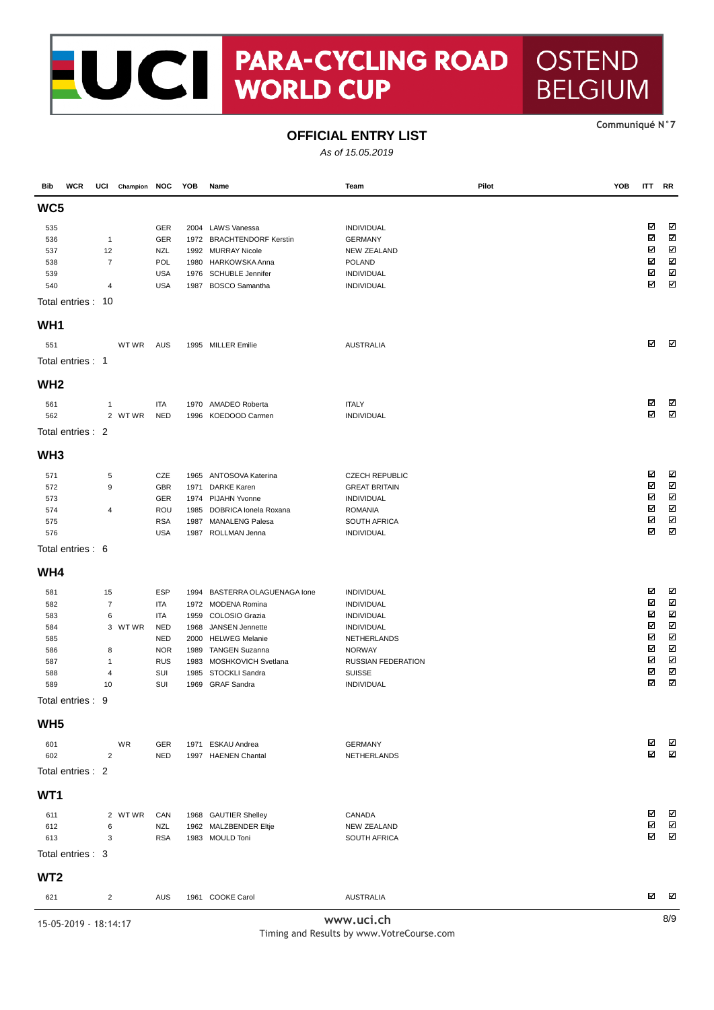# NOCI PARA-CYCLII **PARA-CYCLING ROAD**

#### **CommuniquÈ N°7**

**OSTEND** 

**BELGIUM** 

### **OFFICIAL ENTRY LIST**

As of 15.05.2019

| Bib                                                                                                 | <b>WCR</b> | UCI                                                       | Champion NOC |                                                                                                       | YOB                                                          | Name                                                                                                                                                                                                 | Team                                                                                                                                                    | Pilot | YOB | <b>ITT RR</b>                             |                                                                                               |
|-----------------------------------------------------------------------------------------------------|------------|-----------------------------------------------------------|--------------|-------------------------------------------------------------------------------------------------------|--------------------------------------------------------------|------------------------------------------------------------------------------------------------------------------------------------------------------------------------------------------------------|---------------------------------------------------------------------------------------------------------------------------------------------------------|-------|-----|-------------------------------------------|-----------------------------------------------------------------------------------------------|
| WC5                                                                                                 |            |                                                           |              |                                                                                                       |                                                              |                                                                                                                                                                                                      |                                                                                                                                                         |       |     |                                           |                                                                                               |
| 535<br>536<br>537<br>538                                                                            |            | $\mathbf{1}$<br>12<br>$\overline{7}$                      |              | GER<br>GER<br><b>NZL</b><br>POL                                                                       | 2004<br>1992<br>1980                                         | <b>LAWS Vanessa</b><br>1972 BRACHTENDORF Kerstin<br><b>MURRAY Nicole</b><br>HARKOWSKA Anna                                                                                                           | INDIVIDUAL<br><b>GERMANY</b><br><b>NEW ZEALAND</b><br><b>POLAND</b>                                                                                     |       |     | ⊠<br>⊠<br>☑<br>⊠                          | K<br>N<br>N<br>N                                                                              |
| 539<br>540<br>Total entries: 10                                                                     |            | 4                                                         |              | <b>USA</b><br><b>USA</b>                                                                              | 1976<br>1987                                                 | <b>SCHUBLE Jennifer</b><br><b>BOSCO</b> Samantha                                                                                                                                                     | INDIVIDUAL<br>INDIVIDUAL                                                                                                                                |       |     | ⊠<br>☑                                    | $\overline{\mathbb{Z}}$<br>Σ                                                                  |
| WH <sub>1</sub>                                                                                     |            |                                                           |              |                                                                                                       |                                                              |                                                                                                                                                                                                      |                                                                                                                                                         |       |     |                                           |                                                                                               |
| 551                                                                                                 |            |                                                           | WT WR        | <b>AUS</b>                                                                                            |                                                              | 1995 MILLER Emilie                                                                                                                                                                                   | <b>AUSTRALIA</b>                                                                                                                                        |       |     | ☑                                         | K                                                                                             |
| Total entries: 1                                                                                    |            |                                                           |              |                                                                                                       |                                                              |                                                                                                                                                                                                      |                                                                                                                                                         |       |     |                                           |                                                                                               |
| WH <sub>2</sub>                                                                                     |            |                                                           |              |                                                                                                       |                                                              |                                                                                                                                                                                                      |                                                                                                                                                         |       |     |                                           |                                                                                               |
| 561<br>562                                                                                          |            | 1                                                         | 2 WTWR       | <b>ITA</b><br><b>NED</b>                                                                              | 1970<br>1996                                                 | AMADEO Roberta<br>KOEDOOD Carmen                                                                                                                                                                     | <b>ITALY</b><br><b>INDIVIDUAL</b>                                                                                                                       |       |     | ☑<br>☑                                    | N<br>$\overline{\mathbf{x}}$                                                                  |
| Total entries: 2                                                                                    |            |                                                           |              |                                                                                                       |                                                              |                                                                                                                                                                                                      |                                                                                                                                                         |       |     |                                           |                                                                                               |
| WH <sub>3</sub>                                                                                     |            |                                                           |              |                                                                                                       |                                                              |                                                                                                                                                                                                      |                                                                                                                                                         |       |     |                                           |                                                                                               |
| 571<br>572<br>573<br>574<br>575<br>576                                                              |            | 5<br>9<br>4                                               |              | CZE<br>GBR<br>GER<br>ROU<br><b>RSA</b><br><b>USA</b>                                                  | 1965<br>1971<br>1974<br>1985<br>1987<br>1987                 | ANTOSOVA Katerina<br><b>DARKE Karen</b><br>PIJAHN Yvonne<br>DOBRICA lonela Roxana<br><b>MANALENG Palesa</b><br>ROLLMAN Jenna                                                                         | <b>CZECH REPUBLIC</b><br><b>GREAT BRITAIN</b><br>INDIVIDUAL<br><b>ROMANIA</b><br>SOUTH AFRICA<br>INDIVIDUAL                                             |       |     | ☑<br>☑<br>☑<br>☑<br>⊠<br>☑                | ☑<br>$\overline{\mathbf{z}}$<br>N<br>N<br>$\boldsymbol{\nabla}$<br>N                          |
| Total entries: 6                                                                                    |            |                                                           |              |                                                                                                       |                                                              |                                                                                                                                                                                                      |                                                                                                                                                         |       |     |                                           |                                                                                               |
| WH4                                                                                                 |            |                                                           |              |                                                                                                       |                                                              |                                                                                                                                                                                                      |                                                                                                                                                         |       |     |                                           |                                                                                               |
| 581<br>582<br>583<br>584<br>585<br>586<br>587<br>588<br>589<br>Total entries : 9<br>WH <sub>5</sub> |            | 15<br>$\overline{7}$<br>6<br>8<br>$\mathbf{1}$<br>4<br>10 | 3 WTWR       | <b>ESP</b><br><b>ITA</b><br>ITA<br><b>NED</b><br><b>NED</b><br><b>NOR</b><br><b>RUS</b><br>SUI<br>SUI | 1994<br>1959<br>1968<br>2000<br>1989<br>1983<br>1985<br>1969 | BASTERRA OLAGUENAGA Ione<br>1972 MODENA Romina<br>COLOSIO Grazia<br>JANSEN Jennette<br><b>HELWEG Melanie</b><br><b>TANGEN Suzanna</b><br>MOSHKOVICH Svetlana<br>STOCKLI Sandra<br><b>GRAF Sandra</b> | INDIVIDUAL<br>INDIVIDUAL<br>INDIVIDUAL<br>INDIVIDUAL<br>NETHERLANDS<br><b>NORWAY</b><br><b>RUSSIAN FEDERATION</b><br><b>SUISSE</b><br><b>INDIVIDUAL</b> |       |     | ☑<br>⊠<br>⊠<br>☑<br>⊠<br>☑<br>☑<br>⊠<br>⊠ | N<br>K<br>$\boldsymbol{\nabla}$<br>$\overline{\mathbf{z}}$<br>N<br>Ν<br>K<br>$\boxtimes$<br>Ν |
| 601                                                                                                 |            |                                                           | WR           | GER                                                                                                   |                                                              | 1971 ESKAU Andrea                                                                                                                                                                                    | <b>GERMANY</b>                                                                                                                                          |       |     | ⊠                                         | N                                                                                             |
| 602<br>Total entries : 2                                                                            |            | $\overline{2}$                                            |              | <b>NED</b>                                                                                            |                                                              | 1997 HAENEN Chantal                                                                                                                                                                                  | NETHERLANDS                                                                                                                                             |       |     | ☑                                         | N                                                                                             |
| WT1                                                                                                 |            |                                                           |              |                                                                                                       |                                                              |                                                                                                                                                                                                      |                                                                                                                                                         |       |     |                                           |                                                                                               |
| 611<br>612<br>613<br>Total entries : 3                                                              |            | 6<br>3                                                    | 2 WTWR       | CAN<br><b>NZL</b><br><b>RSA</b>                                                                       |                                                              | 1968 GAUTIER Shelley<br>1962 MALZBENDER Eltje<br>1983 MOULD Toni                                                                                                                                     | CANADA<br><b>NEW ZEALAND</b><br>SOUTH AFRICA                                                                                                            |       |     | ⊠<br>⊠<br>⊠                               | N<br>$\boxtimes$<br>Ν                                                                         |
| WT <sub>2</sub>                                                                                     |            |                                                           |              |                                                                                                       |                                                              |                                                                                                                                                                                                      |                                                                                                                                                         |       |     |                                           |                                                                                               |
| 621                                                                                                 |            | $\overline{c}$                                            |              | <b>AUS</b>                                                                                            |                                                              | 1961 COOKE Carol                                                                                                                                                                                     | <b>AUSTRALIA</b>                                                                                                                                        |       |     | ⊠                                         | N                                                                                             |
| $4E$ OF $2040$                                                                                      |            |                                                           |              |                                                                                                       |                                                              |                                                                                                                                                                                                      | www.uci.ch                                                                                                                                              |       |     |                                           | 8/9                                                                                           |

15-05-2019 - 18:14:17 **www.uci.ch** 8/9

Timing and Results by www.VotreCourse.com